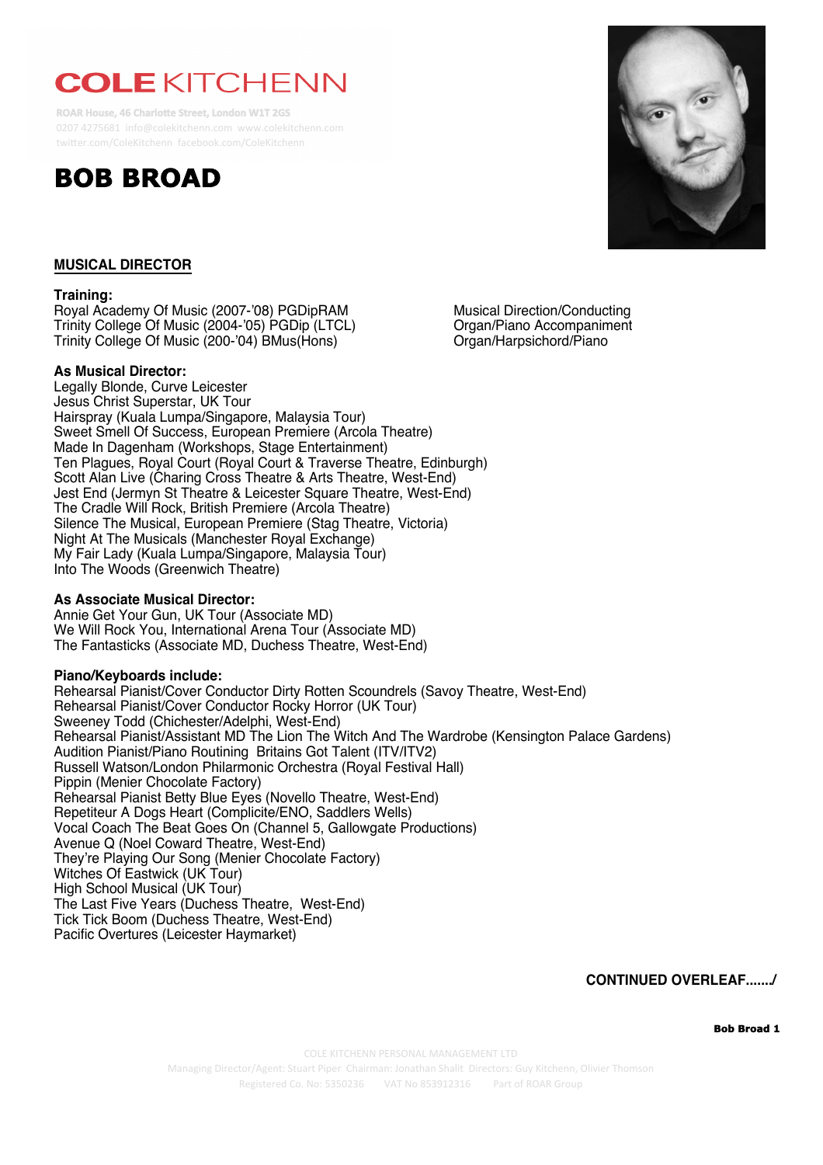# **COLE KITCHENN**

**ROAR House, 46 Charlotte Street, London W1T 2GS** 0207 4275681 info@colekitchenn.com www.colekitchenn.com twitter.com/ColeKitchenn facebook.com/ColeKitchenn





# **MUSICAL DIRECTOR**

## **Training:**

Royal Academy Of Music (2007-'08) PGDipRAM Musical Direction/Conducting<br>Trinity College Of Music (2004-'05) PGDip (LTCL) Crgan/Piano Accompaniment Trinity College Of Music (2004-'05) PGDip (LTCL) Organ/Piano Accompanin<br>Trinity College Of Music (200-'04) BMus(Hons) Organ/Harpsichord/Piano Trinity College Of Music (200-'04) BMus(Hons)

#### **As Musical Director:**

Legally Blonde, Curve Leicester Jesus Christ Superstar, UK Tour Hairspray (Kuala Lumpa/Singapore, Malaysia Tour) Sweet Smell Of Success, European Premiere (Arcola Theatre) Made In Dagenham (Workshops, Stage Entertainment) Ten Plagues, Royal Court (Royal Court & Traverse Theatre, Edinburgh) Scott Alan Live (Charing Cross Theatre & Arts Theatre, West-End) Jest End (Jermyn St Theatre & Leicester Square Theatre, West-End) The Cradle Will Rock, British Premiere (Arcola Theatre) Silence The Musical, European Premiere (Stag Theatre, Victoria) Night At The Musicals (Manchester Royal Exchange) My Fair Lady (Kuala Lumpa/Singapore, Malaysia Tour) Into The Woods (Greenwich Theatre)

# **As Associate Musical Director:**

Annie Get Your Gun, UK Tour (Associate MD) We Will Rock You, International Arena Tour (Associate MD) The Fantasticks (Associate MD, Duchess Theatre, West-End)

## **Piano/Keyboards include:**

Rehearsal Pianist/Cover Conductor Dirty Rotten Scoundrels (Savoy Theatre, West-End) Rehearsal Pianist/Cover Conductor Rocky Horror (UK Tour) Sweeney Todd (Chichester/Adelphi, West-End) Rehearsal Pianist/Assistant MD The Lion The Witch And The Wardrobe (Kensington Palace Gardens) Audition Pianist/Piano Routining Britains Got Talent (ITV/ITV2) Russell Watson/London Philarmonic Orchestra (Royal Festival Hall) Pippin (Menier Chocolate Factory) Rehearsal Pianist Betty Blue Eyes (Novello Theatre, West-End) Repetiteur A Dogs Heart (Complicite/ENO, Saddlers Wells) Vocal Coach The Beat Goes On (Channel 5, Gallowgate Productions) Avenue Q (Noel Coward Theatre, West-End) They're Playing Our Song (Menier Chocolate Factory) Witches Of Eastwick (UK Tour) High School Musical (UK Tour) The Last Five Years (Duchess Theatre, West-End) Tick Tick Boom (Duchess Theatre, West-End) Pacific Overtures (Leicester Haymarket)

**CONTINUED OVERLEAF......./**

**Bob Broad 1**

COLE KITCHENN PERSONAL MANAGEMENT LTD

Managing Director/Agent: Stuart Piper *Chairman: Jonathan Shalit Directors: Guy Kitchenn, Olivier Thomson* Registered Co. No: 5350236 VAT No 853912316 Part of ROAR Group